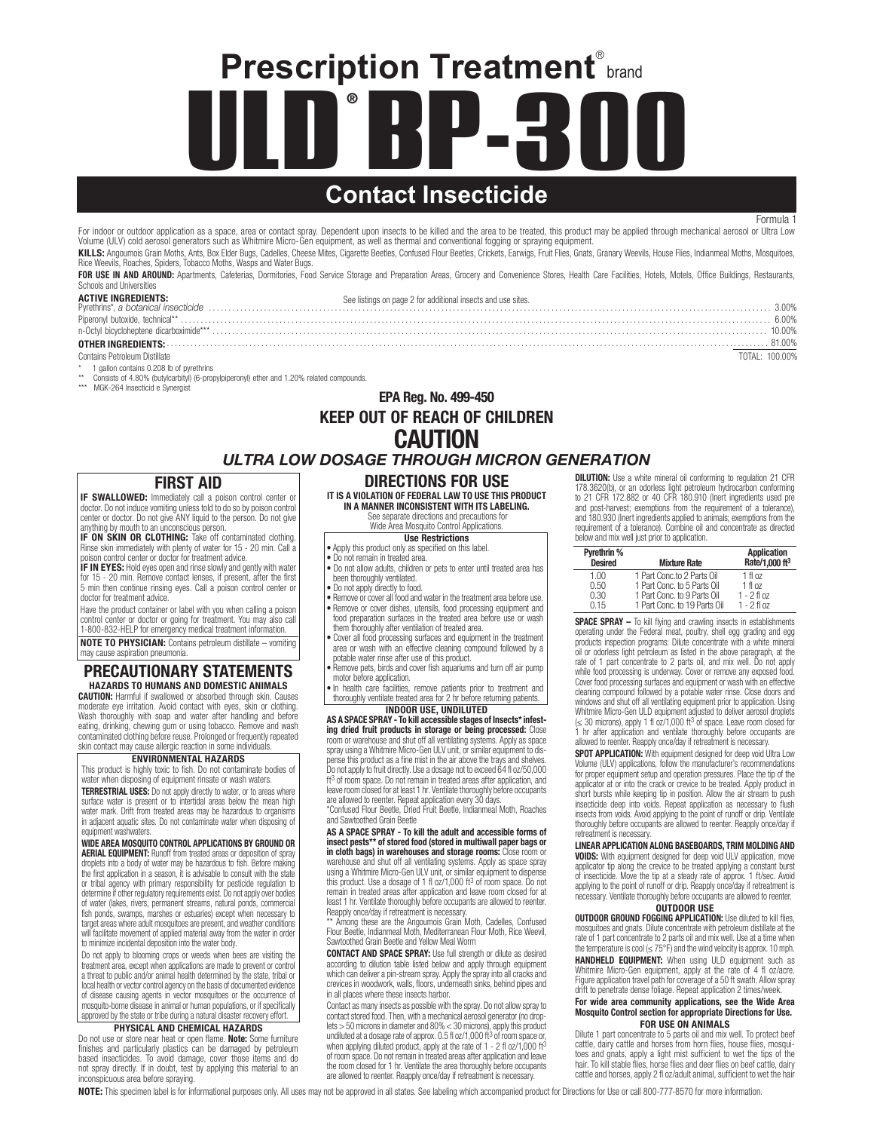**ULD BP-300** ® **Prescription Treatment**® brand

# **Contact Insecticide**

Formula 1

For indoor or outdoor application as a space, area or contact spray. Dependent upon insects to be killed and the area to be treated, this product may be applied through mechanical aerosol or Ultra Low Volume (ULV) cold aerosol generators such as Whitmire Micro-Gen equipment, as well as thermal and conventional fogging or spraying equipment. KILLS: Angoumois Grain Moths, Ants, Box Elder Bugs, Cadelles, Cheese Mites, Cigarette Beetles, Confused Flour Beetles, Crickets, Earwigs, Fruit Flies, Gnats, Granary Weevils, House Flies, Indianmeal Moths, Mosquitoes,

Rice Weevils, Roaches, Spiders, Tobacco Moths, Wasps and Water Bugs. FOR USE IN AND AROUND: Apartments, Cafeterias, Dormitories, Food Service Storage and Preparation Areas, Grocery and Convenience Stores, Health Care Facilities, Hotels, Motels, Office Buildings, Restaurants, Schools and Universities

| <b>ACTIVE INGREDIENTS:</b>    | See listings on page 2 for additional insects and use sites. | 3.00%          |
|-------------------------------|--------------------------------------------------------------|----------------|
|                               |                                                              | 6.00%          |
|                               |                                                              | 10.00%         |
|                               |                                                              |                |
| Contains Petroleum Distillate |                                                              | TOTAL: 100.00% |

- $*$  1 gallon contains 0.208 lb of pyrethrins \*\* Consists of 4.80% (butylcarbityl) (6-propylpiperonyl) ether and 1.20% related compounds.
- MGK-264 Insecticid e Synergist

### EPA Reg. No. 499-450 KEEP OUT OF REACH OF CHILDREN **CAUTION** ULTRA LOW DOSAGE THROUGH MICRON GENERATION

#### FIRST AID

IF SWALLOWED: Immediately call a poison control center or doctor. Do not induce vomiting unless told to do so by poison control center or doctor. Do not give ANY liquid to the person. Do not give anything by mouth to an unconscious person.

IF ON SKIN OR CLOTHING: Take off contaminated clothing. Rinse skin immediately with plenty of water for 15 - 20 min. Call a poison control center or doctor for treatment advice.

IF IN EYES: Hold eyes open and rinse slowly and gently with water for 15 - 20 min. Remove contact lenses, if present, after the first 5 min then continue rinsing eyes. Call a poison control center or doctor for treatment advice.

Have the product container or label with you when calling a poison control center or doctor or going for treatment. You may also call 1-800-832-HELP for emergency medical treatment information.

NOTE TO PHYSICIAN: Contains petroleum distillate – vomiting may cause aspiration pneumonia.

### PRECAUTIONARY STATEMENTS HAZARDS TO HUMANS AND DOMESTIC ANIMALS

CAUTION: Harmful if swallowed or absorbed through skin. Causes moderate eye irritation. Avoid contact with eyes, skin or clothing. Wash thoroughly with soap and water after handling and before eating, drinking, chewing gum or using tobacco. Remove and wash contaminated clothing before reuse. Prolonged or frequently repeated skin contact may cause allergic reaction in some individuals.

#### ENVIRONMENTAL HAZARDS

This product is highly toxic to fish. Do not contaminate bodies of water when disposing of equipment rinsate or wash waters.

**TERRESTRIAL USES:** Do not apply directly to water, or to areas where surface water is present or to intertidal areas below the mean high water mark. Drift from treated areas may be hazardous to organisms in adjacent aquatic sites. Do not contaminate water when disposing of equipment washwaters.

#### WIDE AREA MOSQUITO CONTROL APPLICATIONS BY GROUND OR **AERIAL EQUIPMENT:** Runoff from treated areas or deposition of spray droplets into a body of water may be hazardous to fish. Before making the first application in a season, it is advisable to consult with the state or tribal agency with primary responsibility for pesticide regulation to

determine if other regulatory requirements exist. Do not apply over bodies of water (lakes, rivers, permanent streams, natural ponds, commercial fish ponds, swamps, marshes or estuaries) except when necessary to target areas where adult mosquitoes are present, and weather conditions will facilitate movement of applied material away from the water in order to minimize incidental deposition into the water body.

Do not apply to blooming crops or weeds when bees are visiting the treatment area, except when applications are made to prevent or control a threat to public and/or animal health determined by the state, tribal or local health or vector control agency on the basis of documented evidence of disease causing agents in vector mosquitoes or the occurrence of mosquito-borne disease in animal or human populations, or if specifically approved by the state or tribe during a natural disaster recovery effort.

#### PHYSICAL AND CHEMICAL HAZARDS

Do not use or store near heat or open flame. **Note:** Some furniture<br>finishes and particularly plastics can be damaged by petroleum based insecticides. To avoid damage, cover those items and do not spray directly. If in doubt, test by applying this material to an inconspicuous area before spraying.

### DIRECTIONS FOR USE

IT IS A VIOLATION OF FEDERAL LAW TO USE THIS PRODUCT IN A MANNER INCONSISTENT WITH ITS LABELING.

#### See separate directions and precautions for Wide Area Mosquito Control Applications.

Use Restrictions

• Apply this product only as specified on this label • Do not remain in treated area.

- Do not allow adults, children or pets to enter until treated area has
- been thoroughly ventilated.
- Do not apply directly to food.
- Remove or cover all food and water in the treatment area before use. Remove or cover dishes, utensils, food processing equipment and food preparation surfaces in the treated area before use or wash them thoroughly after ventilation of treated area.
- Cover all food processing surfaces and equipment in the treatment area or wash with an effective cleaning compound followed by a
- potable water rinse after use of this product. Remove pets, birds and cover fish aquariums and turn off air pump
- motor before application.
- In health care facilities, remove patients prior to treatment and thoroughly ventilate treated area for 2 hr before returning patients. INDOOR USE, UNDILUTED

AS A SPACE SPRAY - To kill accessible stages of Insects\* infest**ing dried fruit products in storage or being processed:** Close<br>room or warehouse and shut off all ventilating systems. Apply as space spray using a Whitmire Micro-Gen ULV unit, or similar equipment to dispense this product as a fine mist in the air above the trays and shelves. Do not apply to fruit directly. Use a dosage not to exceed 64 fl oz/50,000 ft<sup>3</sup> of room space. Do not remain in treated areas after application, and leave room closed for at least 1 hr. Ventilate thoroughly before occupants are allowed to reenter. Repeat application every 30 days.

\*Confused Flour Beetle, Dried Fruit Beetle, Indianmeal Moth, Roaches and Sawtoothed Grain Beetle

AS A SPACE SPRAY - To kill the adult and accessible forms of insect pests\*\* of stored food (stored in multiwall paper bags or in cloth bags) in warehouses and storage rooms: Close room or warehouse and shut off all ventilating systems. Apply as space spray using a Whitmire Micro-Gen ULV unit, or similar equipment to dispense this product. Use a dosage of 1 fl oz/1,000 ft3 of room space. Do not remain in treated areas after application and leave room closed for at least 1 hr. Ventilate thoroughly before occupants are allowed to reenter.

Reapply once/day if retreatment is necessary. \*\* Among these are the Angoumois Grain Moth, Cadelles, Confused Flour Beetle, Indianmeal Moth, Mediterranean Flour Moth, Rice Weevil, Sawtoothed Grain Beetle and Yellow Meal Worm

CONTACT AND SPACE SPRAY: Use full strength or dilute as desired according to dilution table listed below and apply through equipment which can deliver a pin-stream spray. Apply the spray into all cracks and crevices in woodwork, walls, floors, underneath sinks, behind pipes and in all places where these insects harbor.

Contact as many insects as possible with the spray. Do not allow spray to contact stored food. Then, with a mechanical aerosol generator (no drop-lets > 50 microns in diameter and 80% < 30 microns), apply this product undiluted at a dosage rate of approx. 0.5 fl oz/1,000 ft3 of room space or,<br>when applying diluted product, apply at the rate of 1 - 2 fl oz/1,000 ft<sup>3</sup><br>of room space. Do not remain in treated areas after application and le the room closed for 1 hr. Ventilate the area thoroughly before occupants are allowed to reenter. Reapply once/day if retreatment is necessary.

**DILUTION:** Use a white mineral oil conforming to regulation 21 CFR 178.3620(b), or an odorless light petroleum hydrocarbon conforming to 21 CFR 172.882 or 40 CFR 180.910 (Inert ingredients used pre and post-harvest; exemptions from the requirement of a tolerance), and 180.930 (Inert ingredients applied to animals; exemptions from the requirement of a tolerance). Combine oil and concentrate as directed below and mix well just prior to application.

| Pyrethrin %<br><b>Desired</b> | <b>Mixture Rate</b>          | <b>Application</b><br>Rate/1,000 ft <sup>3</sup> |
|-------------------------------|------------------------------|--------------------------------------------------|
| 1.00                          | 1 Part Conc.to 2 Parts Oil   | $1$ fl $0$                                       |
| 0.50                          | 1 Part Conc. to 5 Parts Oil  | $1$ fl $0$                                       |
| 0.30                          | 1 Part Conc. to 9 Parts Oil  | $1 - 2$ fl $0z$                                  |
| 015                           | 1 Part Conc. to 19 Parts Oil | $1 - 2$ fl $0z$                                  |

SPACE SPRAY - To kill flying and crawling insects in establishments operating under the Federal meat, poultry, shell egg grading and egg products inspection programs: Dilute concentrate with a white mineral oil or odorless light petroleum as listed in the above paragraph, at the rate of 1 part concentrate to 2 parts oil, and mix well. Do not apply while food processing is underway. Cover or remove any exposed food. Cover food processing surfaces and equipment or wash with an effective cleaning compound followed by a potable water rinse. Close doors and windows and shut off all ventilating equipment prior to application. Using<br>Whitmire Micro-Gen ULD equipment adjusted to deliver aerosol droplets<br>(≤ 30 microns), apply 1 fl oz/1,000 ft<sup>3</sup> of space. Leave room closed for 1 hr after application and ventilate thoroughly before occupants are allowed to reenter. Reapply once/day if retreatment is necessary.

SPOT APPLICATION: With equipment designed for deep void Ultra Low Volume (ULV) applications, follow the manufacturer's recommendations for proper equipment setup and operation pressures. Place the tip of the applicator at or into the crack or crevice to be treated. Apply product in short bursts while keeping tip in position. Allow the air stream to push insecticide deep into voids. Repeat application as necessary to flush insects from voids. Avoid applying to the point of runoff or drip. Ventilate thoroughly before occupants are allowed to reenter. Reapply once/day if retreatment is necessary.

#### LINEAR APPLICATION ALONG BASEBOARDS, TRIM MOLDING AND VOIDS: With equipment designed for deep void ULV application, move

applicator tip along the crevice to be treated applying a constant burst of insecticide. Move the tip at a steady rate of approx. 1 ft/sec. Avoid applying to the point of runoff or drip. Reapply once/day if retreatment is necessary. Ventilate thoroughly before occupants are allowed to reenter. OUTDOOR USE

OUTDOOR GROUND FOGGING APPLICATION: Use diluted to kill flies, mosquitoes and gnats. Dilute concentrate with petroleum distillate at the rate of 1 part concentrate to 2 parts oil and mix well. Use at a time when the temperature is cool ( $\leq 75^{\circ}$ F) and the wind velocity is approx. 10 mph. HANDHELD EQUIPMENT: When using ULD equipment such as Whitmire Micro-Gen equipment, apply at the rate of 4 fl oz/acre. Figure application travel path for coverage of a 50 ft swath. Allow spray drift to penetrate dense foliage. Repeat application 2 times/week.

### For wide area community applications, see the Wide Area Mosquito Control section for appropriate Directions for Use. FOR USE ON ANIMALS

Dilute 1 part concentrate to 5 parts oil and mix well. To protect beef cattle, dairy cattle and horses from horn flies, house flies, mosquitoes and gnats, apply a light mist sufficient to wet the tips of the hair. To kill stable flies, horse flies and deer flies on beef cattle, dairy cattle and horses, apply 2 fl oz/adult animal, sufficient to wet the hair

NOTE: This specimen label is for informational purposes only. All uses may not be approved in all states. See labeling which accompanied product for Directions for Use or call 800-777-8570 for more information.